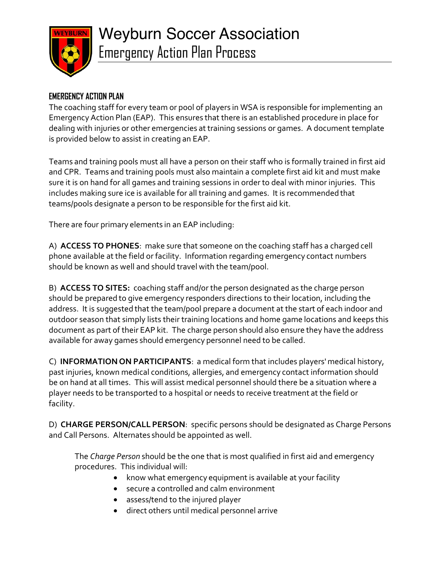

# **EMERGENCY ACTION PLAN**

The coaching staff for every team or pool of players in WSA is responsible for implementing an Emergency Action Plan (EAP). This ensures that there is an established procedure in place for dealing with injuries or other emergencies at training sessions or games. A document template is provided below to assist in creating an EAP.

Teams and training pools must all have a person on their staff who is formally trained in first aid and CPR. Teams and training pools must also maintain a complete first aid kit and must make sure it is on hand for all games and training sessions in order to deal with minor injuries. This includes making sure ice is available for all training and games. It is recommended that teams/pools designate a person to be responsible for the first aid kit.

There are four primary elements in an EAP including:

A) **ACCESS TO PHONES**: make sure that someone on the coaching staff has a charged cell phone available at the field or facility. Information regarding emergency contact numbers should be known as well and should travel with the team/pool.

B) **ACCESS TO SITES:** coaching staff and/or the person designated as the charge person should be prepared to give emergency responders directions to their location, including the address. It is suggested that the team/pool prepare a document at the start of each indoor and outdoor season that simply lists their training locations and home game locations and keeps this document as part of their EAP kit. The charge person should also ensure they have the address available for away games should emergency personnel need to be called.

C) **INFORMATION ON PARTICIPANTS**: a medical form that includes players' medical history, past injuries, known medical conditions, allergies, and emergency contact information should be on hand at all times. This will assist medical personnel should there be a situation where a player needs to be transported to a hospital or needs to receive treatment at the field or facility.

D) **CHARGE PERSON/CALL PERSON**: specific persons should be designated as Charge Persons and Call Persons. Alternates should be appointed as well.

The *Charge Person* should be the one that is most qualified in first aid and emergency procedures. This individual will:

- know what emergency equipment is available at your facility
- secure a controlled and calm environment
- assess/tend to the injured player
- direct others until medical personnel arrive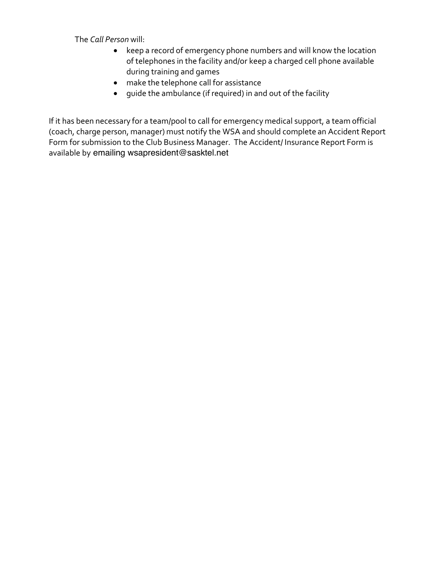The *Call Person* will:

- keep a record of emergency phone numbers and will know the location of telephones in the facility and/or keep a charged cell phone available during training and games
- make the telephone call for assistance
- guide the ambulance (if required) in and out of the facility

If it has been necessary for a team/pool to call for emergency medical support, a team official (coach, charge person, manager) must notify the WSA and should complete an Accident Report Form for submission to the Club Business Manager. The Accident/ Insurance Report Form is available by emailing wsapresident@sasktel.net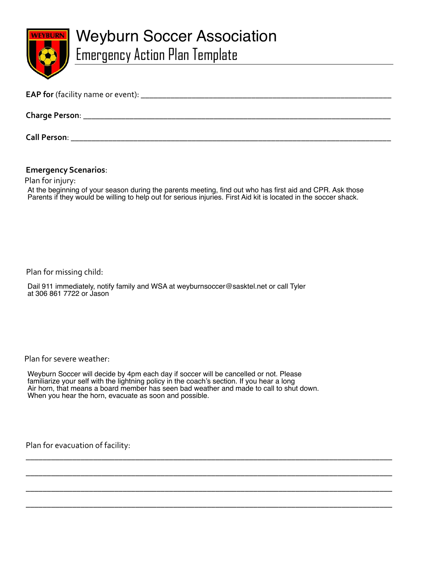

# Weyburn Soccer Association Emergency Action Plan Template

| <b>EAP for</b> (facility name or event): _ |  |
|--------------------------------------------|--|
| Charge Person: _                           |  |
|                                            |  |

**Call Person**: \_\_\_\_\_\_\_\_\_\_\_\_\_\_\_\_\_\_\_\_\_\_\_\_\_\_\_\_\_\_\_\_\_\_\_\_\_\_\_\_\_\_\_\_\_\_\_\_\_\_\_\_\_\_\_\_\_\_\_\_\_\_\_\_\_\_\_\_\_\_\_\_\_\_\_\_

## **Emergency Scenarios**:

Plan for injury:<br>At the beginning of your season during the parents meeting, find out who has first aid and CPR. Ask those Parents if they would be willing to help out for serious injuries. First Aid kit is located in the soccer shack.

Plan for missing child:

Dail 911 immediately, notify family and WSA at weyburnsoccer@sasktel.net or call Tyler at 306 861 7722 or Jason

Plan for severe weather:

Weyburn Soccer will decide by 4pm each day if soccer will be cancelled or not. Please<br>familiarize vour self with the lightning policy in the coach's section. If you hear a long When you hear the horn, evacuate as soon and possible. familiarize your self with the lightning policy in the coach's section. If you hear a long Air horn, that means a board member has seen bad weather and made to call to shut down. At the beginning of your season during the parents meeting, find out who has first aid and CPR. Ask those<br>Parents if they would be willing to help out for serious injuries. First Aid kit is located in the soccer shack.<br>Dia

\_\_\_\_\_\_\_\_\_\_\_\_\_\_\_\_\_\_\_\_\_\_\_\_\_\_\_\_\_\_\_\_\_\_\_\_\_\_\_\_\_\_\_\_\_\_\_\_\_\_\_\_\_\_\_\_\_\_\_\_\_\_\_\_\_\_\_\_\_\_\_\_\_\_\_\_\_\_\_\_\_\_\_\_\_\_\_

\_\_\_\_\_\_\_\_\_\_\_\_\_\_\_\_\_\_\_\_\_\_\_\_\_\_\_\_\_\_\_\_\_\_\_\_\_\_\_\_\_\_\_\_\_\_\_\_\_\_\_\_\_\_\_\_\_\_\_\_\_\_\_\_\_\_\_\_\_\_\_\_\_\_\_\_\_\_\_\_\_\_\_\_\_\_\_

\_\_\_\_\_\_\_\_\_\_\_\_\_\_\_\_\_\_\_\_\_\_\_\_\_\_\_\_\_\_\_\_\_\_\_\_\_\_\_\_\_\_\_\_\_\_\_\_\_\_\_\_\_\_\_\_\_\_\_\_\_\_\_\_\_\_\_\_\_\_\_\_\_\_\_\_\_\_\_\_\_\_\_\_\_\_\_

\_\_\_\_\_\_\_\_\_\_\_\_\_\_\_\_\_\_\_\_\_\_\_\_\_\_\_\_\_\_\_\_\_\_\_\_\_\_\_\_\_\_\_\_\_\_\_\_\_\_\_\_\_\_\_\_\_\_\_\_\_\_\_\_\_\_\_\_\_\_\_\_\_\_\_\_\_\_\_\_\_\_\_\_\_\_\_

Plan for evacuation of facility: